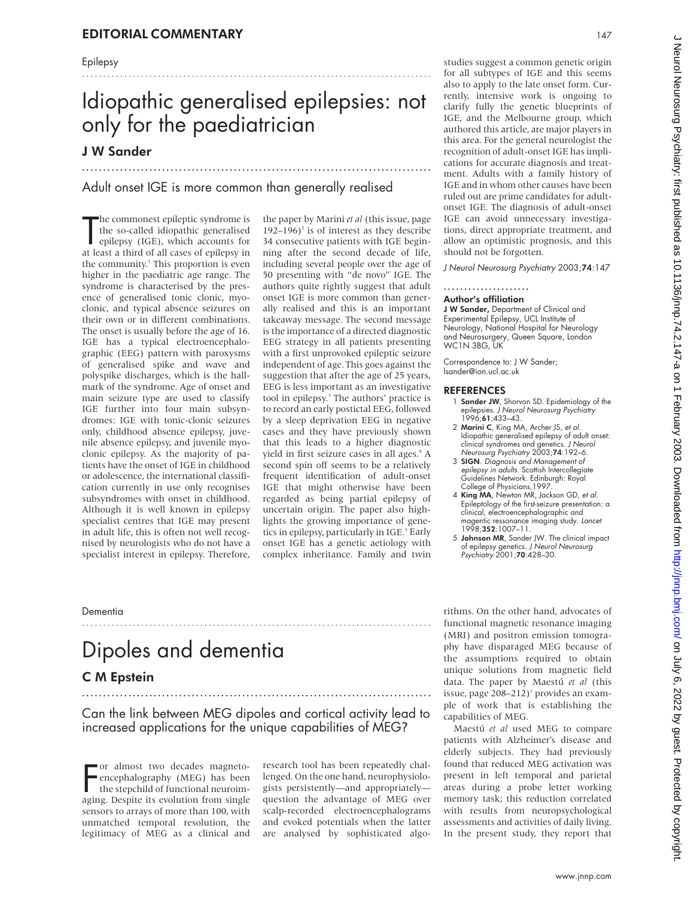#### Epilepsy

# Idiopathic generalised epilepsies: not only for the paediatrician

...................................................................................

...................................................................................

## J W Sander

## Adult onset IGE is more common than generally realised

The commonest epileptic syndrome is<br>the so-called idiopathic generalised<br>epilepsy (IGE), which accounts for<br>at least a third of all cases of epilepsy in he commonest epileptic syndrome is the so-called idiopathic generalised epilepsy (IGE), which accounts for the community.<sup>1</sup> This proportion is even higher in the paediatric age range. The syndrome is characterised by the presence of generalised tonic clonic, myoclonic, and typical absence seizures on their own or in different combinations. The onset is usually before the age of 16. IGE has a typical electroencephalographic (EEG) pattern with paroxysms of generalised spike and wave and polyspike discharges, which is the hallmark of the syndrome. Age of onset and main seizure type are used to classify IGE further into four main subsyndromes: IGE with tonic-clonic seizures only, childhood absence epilepsy, juvenile absence epilepsy, and juvenile myoclonic epilepsy. As the majority of patients have the onset of IGE in childhood or adolescence, the international classification currently in use only recognises subsyndromes with onset in childhood. Although it is well known in epilepsy specialist centres that IGE may present in adult life, this is often not well recognised by neurologists who do not have a specialist interest in epilepsy. Therefore,

the paper by Marini *et al* (this issue, page  $192-196$ <sup>2</sup> is of interest as they describe 34 consecutive patients with IGE beginning after the second decade of life, including several people over the age of 50 presenting with "de novo" IGE. The authors quite rightly suggest that adult onset IGE is more common than generally realised and this is an important takeaway message. The second message is the importance of a directed diagnostic EEG strategy in all patients presenting with a first unprovoked epileptic seizure independent of age. This goes against the suggestion that after the age of 25 years, EEG is less important as an investigative tool in epilepsy.<sup>3</sup> The authors' practice is to record an early postictal EEG, followed by a sleep deprivation EEG in negative cases and they have previously shown that this leads to a higher diagnostic yield in first seizure cases in all ages.<sup>4</sup> A second spin off seems to be a relatively frequent identification of adult-onset IGE that might otherwise have been regarded as being partial epilepsy of uncertain origin. The paper also highlights the growing importance of genetics in epilepsy, particularly in IGE.<sup>5</sup> Early onset IGE has a genetic aetiology with complex inheritance. Family and twin studies suggest a common genetic origin for all subtypes of IGE and this seems also to apply to the late onset form. Currently, intensive work is ongoing to clarify fully the genetic blueprints of IGE, and the Melbourne group, which authored this article, are major players in this area. For the general neurologist the recognition of adult-onset IGE has implications for accurate diagnosis and treatment. Adults with a family history of IGE and in whom other causes have been ruled out are prime candidates for adultonset IGE. The diagnosis of adult-onset IGE can avoid unnecessary investigations, direct appropriate treatment, and allow an optimistic prognosis, and this should not be forgotten.

J Neurol Neurosurg Psychiatry 2003;74:147

#### ..................... Author's affiliation

J W Sander, Department of Clinical and Experimental Epilepsy, UCL Institute of Neurology, National Hospital for Neurology and Neurosurgery, Queen Square, London WC1N 3BG, UK

Correspondence to: J W Sander; lsander@ion.ucl.ac.uk

#### REFERENCES

- 1 Sander JW, Shorvon SD. Epidemiology of the epilepsies. J Neurol Neurosurg Psychiatry 1996;61;433–43.
- 2 Marini C, King MA, Archer JS, et al. Idiopathic generalised epilepsy of adult onset: clinical syndromes and genetics. J Neurol Neurosurg Psychiatry 2003;74:192–6.
- 3 SIGN. Diagnosis and Management of epilepsy in adults. Scottish Intercollegiate Guidelines Network. Edinburgh: Royal College of Physicians,1997.
- 4 King MA, Newton MR, Jackson GD, et al. Epileptology of the first-seizure presentation: a clinical, electroencephalographic and magentic ressonance imaging study. Lancet 1998;352:1007–11.
- 5 Johnson MR, Sander JW. The clinical impact of epilepsy genetics. J Neurol Neurosurg<br>Psychiatry 2001;**70**:428–30.

#### Dementia

## Dipoles and dementia C M Epstein

## Can the link between MEG dipoles and cortical activity lead to increased applications for the unique capabilities of MEG?

...................................................................................

...................................................................................

For almost two decades magneto-<br>encephalography (MEG) has been<br>the stepchild of functional neuroim-<br>aging. Despite its evolution from single or almost two decades magnetoencephalography (MEG) has been the stepchild of functional neuroimsensors to arrays of more than 100, with unmatched temporal resolution, the legitimacy of MEG as a clinical and

research tool has been repeatedly challenged. On the one hand, neurophysiologists persistently—and appropriately question the advantage of MEG over scalp-recorded electroencephalograms and evoked potentials when the latter are analysed by sophisticated algorithms. On the other hand, advocates of functional magnetic resonance imaging (MRI) and positron emission tomography have disparaged MEG because of the assumptions required to obtain unique solutions from magnetic field data. The paper by Maestú *et al* (this issue, page  $208-212$ <sup>1</sup> provides an example of work that is establishing the capabilities of MEG.

Maestú *et al* used MEG to compare patients with Alzheimer's disease and elderly subjects. They had previously found that reduced MEG activation was present in left temporal and parietal areas during a probe letter working memory task; this reduction correlated with results from neuropsychological assessments and activities of daily living. In the present study, they report that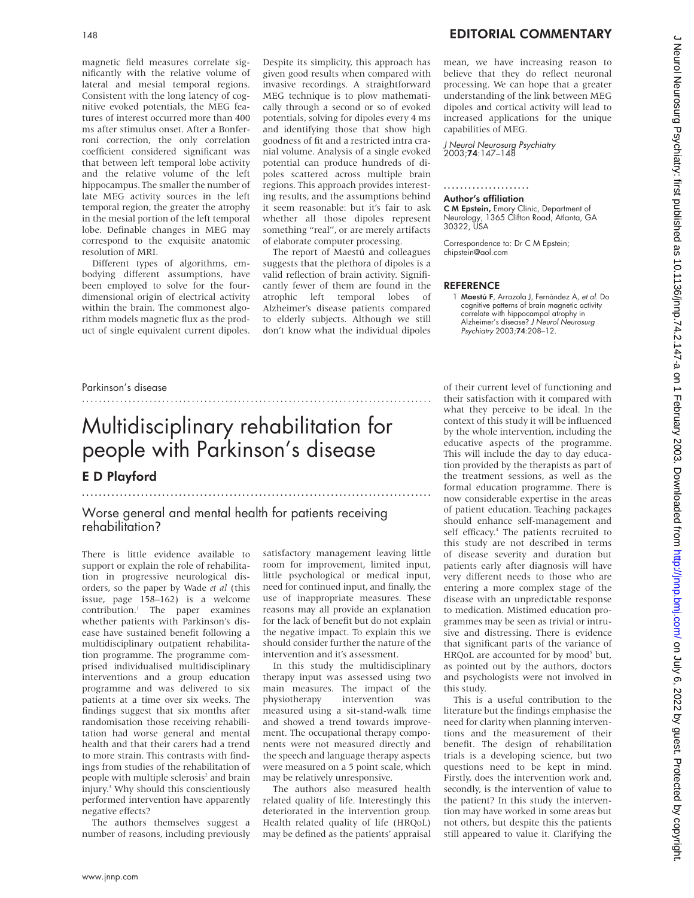magnetic field measures correlate significantly with the relative volume of lateral and mesial temporal regions. Consistent with the long latency of cognitive evoked potentials, the MEG features of interest occurred more than 400 ms after stimulus onset. After a Bonferroni correction, the only correlation coefficient considered significant was that between left temporal lobe activity and the relative volume of the left hippocampus. The smaller the number of late MEG activity sources in the left temporal region, the greater the atrophy in the mesial portion of the left temporal lobe. Definable changes in MEG may correspond to the exquisite anatomic resolution of MRI.

Different types of algorithms, embodying different assumptions, have been employed to solve for the fourdimensional origin of electrical activity within the brain. The commonest algorithm models magnetic flux as the product of single equivalent current dipoles.

Despite its simplicity, this approach has given good results when compared with invasive recordings. A straightforward MEG technique is to plow mathematically through a second or so of evoked potentials, solving for dipoles every 4 ms and identifying those that show high goodness of fit and a restricted intra cranial volume. Analysis of a single evoked potential can produce hundreds of dipoles scattered across multiple brain regions. This approach provides interesting results, and the assumptions behind it seem reasonable: but it's fair to ask whether all those dipoles represent something "real", or are merely artifacts of elaborate computer processing.

The report of Maestú and colleagues suggests that the plethora of dipoles is a valid reflection of brain activity. Significantly fewer of them are found in the atrophic left temporal lobes of Alzheimer's disease patients compared to elderly subjects. Although we still don't know what the individual dipoles

## <sup>148</sup> EDITORIAL COMMENTARY

mean, we have increasing reason to believe that they do reflect neuronal processing. We can hope that a greater understanding of the link between MEG dipoles and cortical activity will lead to increased applications for the unique capabilities of MEG.

J Neurol Neurosurg Psychiatry 2003;74:147–148

#### ..................... Author's affiliation

C M Epstein, Emory Clinic, Department of Neurology, 1365 Clifton Road, Atlanta, GA 30322, USA

Correspondence to: Dr C M Epstein; chipstein@aol.com

#### **REFERENCE**

1 Maestú F, Arrazola J, Fernández A, et al. Do cognitive patterns of brain magnetic activity correlate with hippocampal atrophy in Alzheimer's disease? J Neurol Neurosurg Psychiatry 2003;74:208–12.

#### Parkinson's disease

## Multidisciplinary rehabilitation for people with Parkinson's disease E D Playford

...................................................................................

### Worse general and mental health for patients receiving rehabilitation?

There is little evidence available to support or explain the role of rehabilitation in progressive neurological disorders, so the paper by Wade *et al* (this issue, page 158–162) is a welcome contribution.1 The paper examines whether patients with Parkinson's disease have sustained benefit following a multidisciplinary outpatient rehabilitation programme. The programme comprised individualised multidisciplinary interventions and a group education programme and was delivered to six patients at a time over six weeks. The findings suggest that six months after randomisation those receiving rehabilitation had worse general and mental health and that their carers had a trend to more strain. This contrasts with findings from studies of the rehabilitation of people with multiple sclerosis<sup>2</sup> and brain injury.3 Why should this conscientiously performed intervention have apparently negative effects?

The authors themselves suggest a number of reasons, including previously satisfactory management leaving little room for improvement, limited input, little psychological or medical input, need for continued input, and finally, the use of inappropriate measures. These reasons may all provide an explanation for the lack of benefit but do not explain the negative impact. To explain this we should consider further the nature of the intervention and it's assessment.

...................................................................................

In this study the multidisciplinary therapy input was assessed using two main measures. The impact of the physiotherapy intervention was measured using a sit-stand-walk time and showed a trend towards improvement. The occupational therapy components were not measured directly and the speech and language therapy aspects were measured on a 5 point scale, which may be relatively unresponsive.

The authors also measured health related quality of life. Interestingly this deteriorated in the intervention group. Health related quality of life (HRQoL) may be defined as the patients' appraisal

of their current level of functioning and their satisfaction with it compared with what they perceive to be ideal. In the context of this study it will be influenced by the whole intervention, including the educative aspects of the programme. This will include the day to day education provided by the therapists as part of the treatment sessions, as well as the formal education programme. There is now considerable expertise in the areas of patient education. Teaching packages should enhance self-management and self efficacy.<sup>4</sup> The patients recruited to this study are not described in terms of disease severity and duration but patients early after diagnosis will have very different needs to those who are entering a more complex stage of the disease with an unpredictable response to medication. Mistimed education programmes may be seen as trivial or intrusive and distressing. There is evidence that significant parts of the variance of HRQoL are accounted for by mood<sup>5</sup> but, as pointed out by the authors, doctors and psychologists were not involved in this study.

This is a useful contribution to the literature but the findings emphasise the need for clarity when planning interventions and the measurement of their benefit. The design of rehabilitation trials is a developing science, but two questions need to be kept in mind. Firstly, does the intervention work and, secondly, is the intervention of value to the patient? In this study the intervention may have worked in some areas but not others, but despite this the patients still appeared to value it. Clarifying the